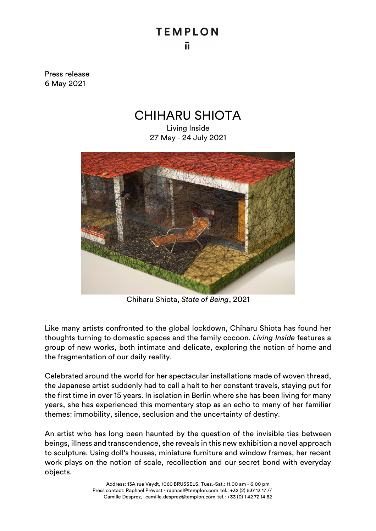## **TEMPLON** ū.

Press release 6 May 2021

## CHIHARU SHIOTA

Living Inside 27 May - 24 July 2021



Chiharu Shiota, *State of Being*, 2021

Like many artists confronted to the global lockdown, Chiharu Shiota has found her thoughts turning to domestic spaces and the family cocoon. *Living Inside* features a group of new works, both intimate and delicate, exploring the notion of home and the fragmentation of our daily reality.

Celebrated around the world for her spectacular installations made of woven thread, the Japanese artist suddenly had to call a halt to her constant travels, staying put for the first time in over 15 years. In isolation in Berlin where she has been living for many years, she has experienced this momentary stop as an echo to many of her familiar themes: immobility, silence, seclusion and the uncertainty of destiny.

An artist who has long been haunted by the question of the invisible ties between beings, illness and transcendence, she reveals in this new exhibition a novel approach to sculpture. Using doll's houses, miniature furniture and window frames, her recent work plays on the notion of scale, recollection and our secret bond with everyday objects.